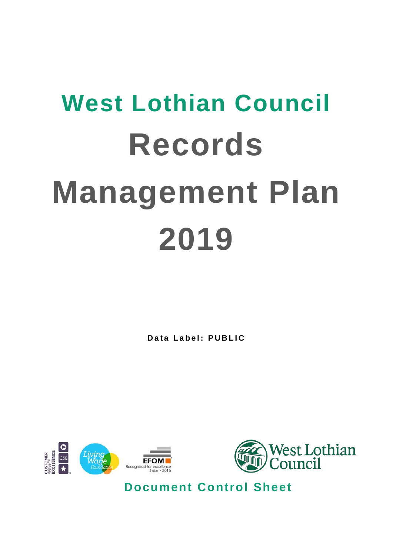# **West Lothian Council Records Management Plan 2019**

**Data Label: PUBLIC**





**Document Control Sheet**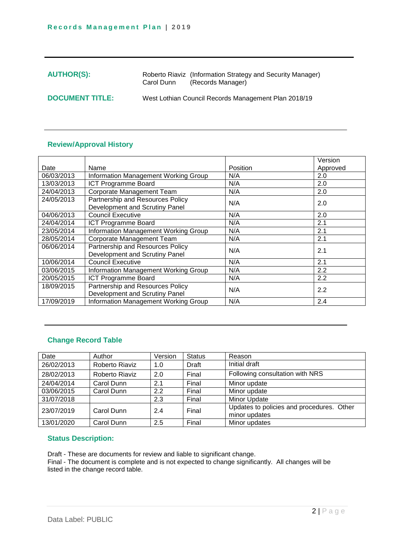**AUTHOR(S):** Roberto Riaviz (Information Strategy and Security Manager) (Records Manager)

**DOCUMENT TITLE:** West Lothian Council Records Management Plan 2018/19

#### **Review/Approval History**

|            |                                      |          | Version  |  |
|------------|--------------------------------------|----------|----------|--|
| Date       | Name                                 | Position | Approved |  |
| 06/03/2013 | Information Management Working Group | N/A      | 2.0      |  |
| 13/03/2013 | <b>ICT Programme Board</b>           | N/A      | 2.0      |  |
| 24/04/2013 | Corporate Management Team            | N/A      | 2.0      |  |
| 24/05/2013 | Partnership and Resources Policy     | N/A      | 2.0      |  |
|            | Development and Scrutiny Panel       |          |          |  |
| 04/06/2013 | <b>Council Executive</b>             | N/A      | 2.0      |  |
| 24/04/2014 | <b>ICT Programme Board</b>           | N/A      | 2.1      |  |
| 23/05/2014 | Information Management Working Group | N/A      | 2.1      |  |
| 28/05/2014 | Corporate Management Team            | N/A      | 2.1      |  |
| 06/06/2014 | Partnership and Resources Policy     | N/A      |          |  |
|            | Development and Scrutiny Panel       |          | 2.1      |  |
| 10/06/2014 | <b>Council Executive</b>             | N/A      | 2.1      |  |
| 03/06/2015 | Information Management Working Group | N/A      | 2.2      |  |
| 20/05/2015 | <b>ICT Programme Board</b>           | N/A      | 2.2      |  |
| 18/09/2015 | Partnership and Resources Policy     | N/A      | 2.2      |  |
|            | Development and Scrutiny Panel       |          |          |  |
| 17/09/2019 | Information Management Working Group | N/A      | 2.4      |  |

#### **Change Record Table**

| Date       | Author         | Version | <b>Status</b> | Reason                                    |
|------------|----------------|---------|---------------|-------------------------------------------|
| 26/02/2013 | Roberto Riaviz | 1.0     | Draft         | Initial draft                             |
| 28/02/2013 | Roberto Riaviz | 2.0     | Final         | Following consultation with NRS           |
| 24/04/2014 | Carol Dunn     | 2.1     | Final         | Minor update                              |
| 03/06/2015 | Carol Dunn     | 2.2     | Final         | Minor update                              |
| 31/07/2018 |                | 2.3     | Final         | <b>Minor Update</b>                       |
| 23/07/2019 | Carol Dunn     | 2.4     | Final         | Updates to policies and procedures. Other |
|            |                |         |               | minor updates                             |
| 13/01/2020 | Carol Dunn     | 2.5     | Final         | Minor updates                             |

#### **Status Description:**

Draft - These are documents for review and liable to significant change. Final - The document is complete and is not expected to change significantly. All changes will be listed in the change record table.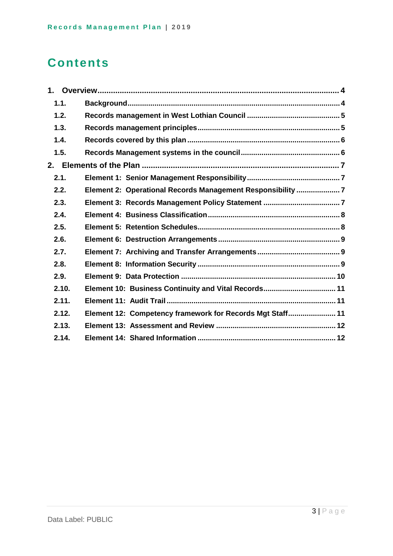# **Contents**

| 1.1.  |                                                            |  |
|-------|------------------------------------------------------------|--|
| 1.2.  |                                                            |  |
| 1.3.  |                                                            |  |
| 1.4.  |                                                            |  |
| 1.5.  |                                                            |  |
|       |                                                            |  |
| 2.1.  |                                                            |  |
| 2.2.  | Element 2: Operational Records Management Responsibility 7 |  |
| 2.3.  |                                                            |  |
| 2.4.  |                                                            |  |
| 2.5.  |                                                            |  |
| 2.6.  |                                                            |  |
| 2.7.  |                                                            |  |
| 2.8.  |                                                            |  |
| 2.9.  |                                                            |  |
| 2.10. | Element 10: Business Continuity and Vital Records 11       |  |
| 2.11. |                                                            |  |
| 2.12. | Element 12: Competency framework for Records Mgt Staff 11  |  |
| 2.13. |                                                            |  |
| 2.14. |                                                            |  |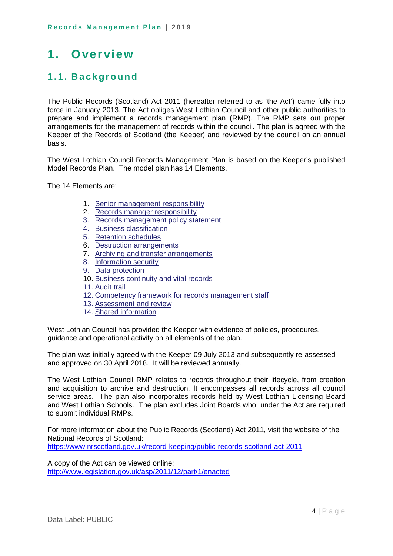# <span id="page-3-0"></span>**1. Overview**

# <span id="page-3-1"></span>**1.1. Background**

The Public Records (Scotland) Act 2011 (hereafter referred to as 'the Act') came fully into force in January 2013. The Act obliges West Lothian Council and other public authorities to prepare and implement a records management plan (RMP). The RMP sets out proper arrangements for the management of records within the council. The plan is agreed with the Keeper of the Records of Scotland (the Keeper) and reviewed by the council on an annual basis.

The West Lothian Council Records Management Plan is based on the Keeper's published Model Records Plan. The model plan has 14 Elements.

The 14 Elements are:

- 1. [Senior management responsibility](#page-6-1)
- 2. [Records manager responsibility](#page-6-2)
- 3. [Records management policy statement](#page-6-3)
- 4. [Business classification](#page-7-0)
- 5. [Retention schedules](#page-7-1)
- 6. [Destruction arrangements](#page-8-0)
- 7. [Archiving and transfer arrangements](#page-8-1)
- 8. [Information security](#page-8-2)
- 9. [Data protection](#page-9-0)
- 10. [Business continuity and vital records](#page-10-0)
- 11. [Audit trail](#page-10-1)
- 12. [Competency framework for records management staff](#page-10-2)
- 13. [Assessment and review](#page-11-0)
- 14. [Shared information](#page-11-1)

West Lothian Council has provided the Keeper with evidence of policies, procedures, guidance and operational activity on all elements of the plan.

The plan was initially agreed with the Keeper 09 July 2013 and subsequently re-assessed and approved on 30 April 2018. It will be reviewed annually.

The West Lothian Council RMP relates to records throughout their lifecycle, from creation and acquisition to archive and destruction. It encompasses all records across all council service areas. The plan also incorporates records held by West Lothian Licensing Board and West Lothian Schools. The plan excludes Joint Boards who, under the Act are required to submit individual RMPs.

For more information about the Public Records (Scotland) Act 2011, visit the website of the National Records of Scotland: <https://www.nrscotland.gov.uk/record-keeping/public-records-scotland-act-2011>

A copy of the Act can be viewed online: <http://www.legislation.gov.uk/asp/2011/12/part/1/enacted>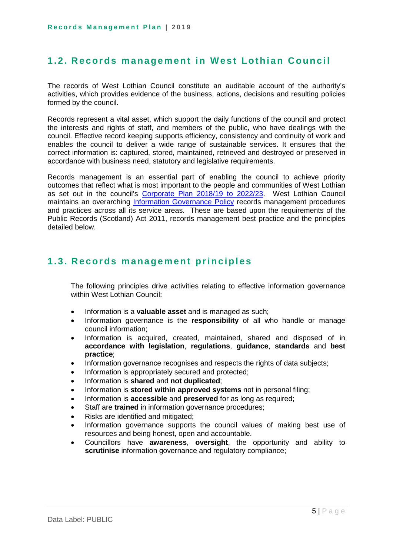# <span id="page-4-0"></span>**1.2. Records management in West Lothian Council**

The records of West Lothian Council constitute an auditable account of the authority's activities, which provides evidence of the business, actions, decisions and resulting policies formed by the council.

Records represent a vital asset, which support the daily functions of the council and protect the interests and rights of staff, and members of the public, who have dealings with the council. Effective record keeping supports efficiency, consistency and continuity of work and enables the council to deliver a wide range of sustainable services. It ensures that the correct information is: captured, stored, maintained, retrieved and destroyed or preserved in accordance with business need, statutory and legislative requirements.

Records management is an essential part of enabling the council to achieve priority outcomes that reflect what is most important to the people and communities of West Lothian as set out in the council's [Corporate Plan 2018/19 to 2022/23.](https://www.westlothian.gov.uk/media/19574/West-Lothian-Council-Corporate-Plan-2018---2023/pdf/West_Lothian_Council_Corporate_Plan_2018-2023.pdf) West Lothian Council maintains an overarching [Information Governance Policy](https://www.westlothian.gov.uk/media/35013/Information-Governance-Policy/pdf/WLC_Information_Governance_Policy.pdf) records management procedures and practices across all its service areas. These are based upon the requirements of the Public Records (Scotland) Act 2011, records management best practice and the principles detailed below.

### <span id="page-4-1"></span>**1.3. Records management principles**

The following principles drive activities relating to effective information governance within West Lothian Council:

- Information is a **valuable asset** and is managed as such;
- Information governance is the **responsibility** of all who handle or manage council information;
- Information is acquired, created, maintained, shared and disposed of in **accordance with legislation**, **regulations**, **guidance**, **standards** and **best practice**;
- Information governance recognises and respects the rights of data subjects;
- Information is appropriately secured and protected;
- Information is **shared** and **not duplicated**;
- Information is **stored within approved systems** not in personal filing;
- Information is **accessible** and **preserved** for as long as required;
- Staff are **trained** in information governance procedures;
- Risks are identified and mitigated;
- Information governance supports the council values of making best use of resources and being honest, open and accountable.
- Councillors have **awareness**, **oversight**, the opportunity and ability to **scrutinise** information governance and regulatory compliance: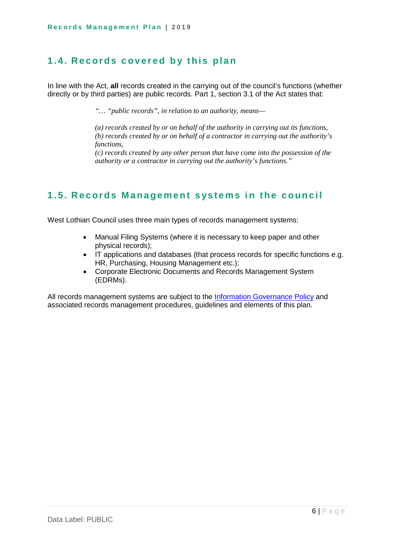# <span id="page-5-0"></span>**1.4. Records covered by this plan**

In line with the Act, **all** records created in the carrying out of the council's functions (whether directly or by third parties) are public records. Part 1, section 3.1 of the Act states that:

*"… "public records", in relation to an authority, means—*

*(a) records created by or on behalf of the authority in carrying out its functions, (b) records created by or on behalf of a contractor in carrying out the authority's functions,*

*(c) records created by any other person that have come into the possession of the authority or a contractor in carrying out the authority's functions."*

### <span id="page-5-1"></span>**1.5. Records Management s ystems in the council**

West Lothian Council uses three main types of records management systems:

- Manual Filing Systems (where it is necessary to keep paper and other physical records);
- IT applications and databases (that process records for specific functions e.g. HR, Purchasing, Housing Management etc.);
- Corporate Electronic Documents and Records Management System (EDRMs).

All records management systems are subject to the [Information Governance Policy](https://www.westlothian.gov.uk/media/35013/Information-Governance-Policy/pdf/WLC_Information_Governance_Policy.pdf) and associated records management procedures, guidelines and elements of this plan.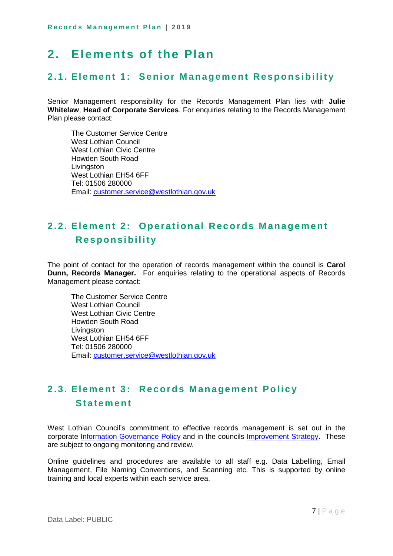# <span id="page-6-0"></span>**2. Elements of the Plan**

# <span id="page-6-1"></span>**2.1. Element 1: Senior Management Responsibility**

Senior Management responsibility for the Records Management Plan lies with **Julie Whitelaw**, **Head of Corporate Services**. For enquiries relating to the Records Management Plan please contact:

The Customer Service Centre West Lothian Council West Lothian Civic Centre Howden South Road **Livinaston** West Lothian EH54 6FF Tel: 01506 280000 Email: [customer.service@westlothian.gov.uk](mailto:customer.service@westlothian.gov.uk)

# <span id="page-6-2"></span>**2.2. Element 2: Operational Records Management Responsibility**

The point of contact for the operation of records management within the council is **Carol Dunn, Records Manager.** For enquiries relating to the operational aspects of Records Management please contact:

The Customer Service Centre West Lothian Council West Lothian Civic Centre Howden South Road **Livinaston** West Lothian EH54 6FF Tel: 01506 280000 Email: [customer.service@westlothian.gov.uk](mailto:customer.service@westlothian.gov.uk)

# <span id="page-6-3"></span>**2.3. Element 3: Records Management Policy S t atement**

West Lothian Council's commitment to effective records management is set out in the corporate [Information Governance Policy](https://www.westlothian.gov.uk/media/35013/Information-Governance-Policy/pdf/WLC_Information_Governance_Policy.pdf) and in the councils [Improvement Strategy.](https://www.westlothian.gov.uk/media/21226/Improvement-Strategy-2018-23/pdf/ImprovementSTrategy1823.pdf) These are subject to ongoing monitoring and review.

Online guidelines and procedures are available to all staff e.g. Data Labelling, Email Management, File Naming Conventions, and Scanning etc. This is supported by online training and local experts within each service area.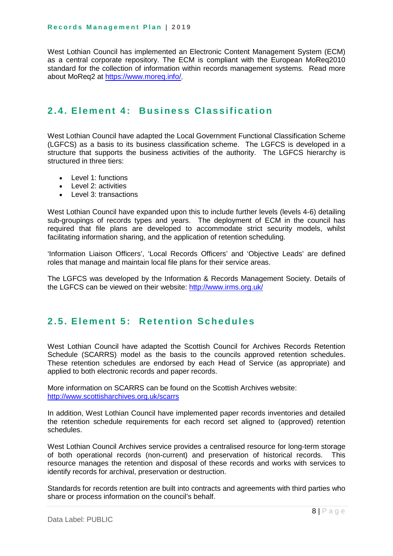West Lothian Council has implemented an Electronic Content Management System (ECM) as a central corporate repository. The ECM is compliant with the European MoReq2010 standard for the collection of information within records management systems. Read more about MoReq2 at [https://www.moreq.info/.](https://www.moreq.info/)

### <span id="page-7-0"></span>**2.4. Element 4: Business Classification**

West Lothian Council have adapted the Local Government Functional Classification Scheme (LGFCS) as a basis to its business classification scheme. The LGFCS is developed in a structure that supports the business activities of the authority. The LGFCS hierarchy is structured in three tiers:

- Level 1: functions
- Level 2: activities
- Level 3: transactions

West Lothian Council have expanded upon this to include further levels (levels 4-6) detailing sub-groupings of records types and years. The deployment of ECM in the council has required that file plans are developed to accommodate strict security models, whilst facilitating information sharing, and the application of retention scheduling.

'Information Liaison Officers', 'Local Records Officers' and 'Objective Leads' are defined roles that manage and maintain local file plans for their service areas.

The LGFCS was developed by the Information & Records Management Society. Details of the LGFCS can be viewed on their website:<http://www.irms.org.uk/>

### <span id="page-7-1"></span>**2.5. Element 5: Retention Schedules**

West Lothian Council have adapted the Scottish Council for Archives Records Retention Schedule (SCARRS) model as the basis to the councils approved retention schedules. These retention schedules are endorsed by each Head of Service (as appropriate) and applied to both electronic records and paper records.

More information on SCARRS can be found on the Scottish Archives website: <http://www.scottisharchives.org.uk/scarrs>

In addition, West Lothian Council have implemented paper records inventories and detailed the retention schedule requirements for each record set aligned to (approved) retention schedules.

West Lothian Council Archives service provides a centralised resource for long-term storage of both operational records (non-current) and preservation of historical records. This resource manages the retention and disposal of these records and works with services to identify records for archival, preservation or destruction.

Standards for records retention are built into contracts and agreements with third parties who share or process information on the council's behalf.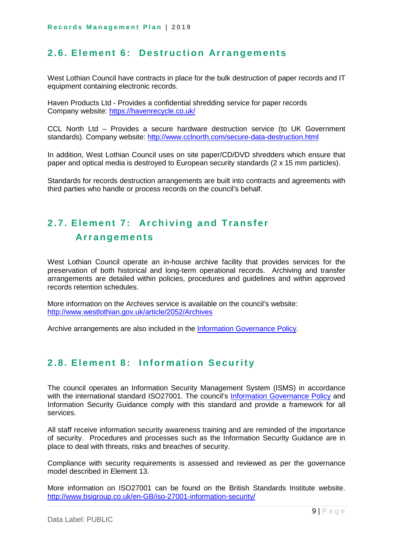# <span id="page-8-0"></span>**2.6. Element 6: Destruction Arrangements**

West Lothian Council have contracts in place for the bulk destruction of paper records and IT equipment containing electronic records.

Haven Products Ltd - Provides a confidential shredding service for paper records Company website:<https://havenrecycle.co.uk/>

CCL North Ltd – Provides a secure hardware destruction service (to UK Government standards). Company website:<http://www.cclnorth.com/secure-data-destruction.html>

In addition, West Lothian Council uses on site paper/CD/DVD shredders which ensure that paper and optical media is destroyed to European security standards (2 x 15 mm particles).

Standards for records destruction arrangements are built into contracts and agreements with third parties who handle or process records on the council's behalf.

# <span id="page-8-1"></span>**2.7. Element 7: Archiving and Transfer Arrangements**

West Lothian Council operate an in-house archive facility that provides services for the preservation of both historical and long-term operational records. Archiving and transfer arrangements are detailed within policies, procedures and guidelines and within approved records retention schedules.

More information on the Archives service is available on the council's website: <http://www.westlothian.gov.uk/article/2052/Archives>

Archive arrangements are also included in the [Information Governance Policy.](https://www.westlothian.gov.uk/media/35013/Information-Governance-Policy/pdf/WLC_Information_Governance_Policy.pdf)

### <span id="page-8-2"></span>**2.8. Element 8: Information Security**

The council operates an Information Security Management System (ISMS) in accordance with the international standard ISO27001. The council's [Information Governance Policy](https://www.westlothian.gov.uk/media/35013/Information-Governance-Policy/pdf/WLC_Information_Governance_Policy.pdf) and Information Security Guidance comply with this standard and provide a framework for all services.

All staff receive information security awareness training and are reminded of the importance of security. Procedures and processes such as the Information Security Guidance are in place to deal with threats, risks and breaches of security.

Compliance with security requirements is assessed and reviewed as per the governance model described in Element 13.

More information on ISO27001 can be found on the British Standards Institute website. <http://www.bsigroup.co.uk/en-GB/iso-27001-information-security/>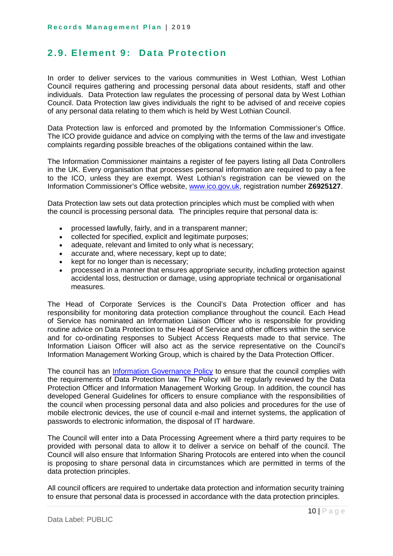## <span id="page-9-0"></span>**2.9. Element 9: Data Protection**

In order to deliver services to the various communities in West Lothian, West Lothian Council requires gathering and processing personal data about residents, staff and other individuals. Data Protection law regulates the processing of personal data by West Lothian Council. Data Protection law gives individuals the right to be advised of and receive copies of any personal data relating to them which is held by West Lothian Council.

Data Protection law is enforced and promoted by the Information Commissioner's Office. The ICO provide guidance and advice on complying with the terms of the law and investigate complaints regarding possible breaches of the obligations contained within the law.

The Information Commissioner maintains a register of fee payers listing all Data Controllers in the UK. Every organisation that processes personal information are required to pay a fee to the ICO, unless they are exempt. West Lothian's registration can be viewed on the Information Commissioner's Office website, [www.ico.gov.uk,](http://www.ico.gov.uk/) registration number **Z6925127**.

Data Protection law sets out data protection principles which must be complied with when the council is processing personal data. The principles require that personal data is:

- processed lawfully, fairly, and in a transparent manner;
- collected for specified, explicit and legitimate purposes;
- adequate, relevant and limited to only what is necessary;
- accurate and, where necessary, kept up to date;
- kept for no longer than is necessary;
- processed in a manner that ensures appropriate security, including protection against accidental loss, destruction or damage, using appropriate technical or organisational measures.

The Head of Corporate Services is the Council's Data Protection officer and has responsibility for monitoring data protection compliance throughout the council. Each Head of Service has nominated an Information Liaison Officer who is responsible for providing routine advice on Data Protection to the Head of Service and other officers within the service and for co-ordinating responses to Subject Access Requests made to that service. The Information Liaison Officer will also act as the service representative on the Council's Information Management Working Group, which is chaired by the Data Protection Officer.

The council has an *[Information Governance Policy](https://www.westlothian.gov.uk/media/35013/Information-Governance-Policy/pdf/WLC_Information_Governance_Policy.pdf)* to ensure that the council complies with the requirements of Data Protection law. The Policy will be regularly reviewed by the Data Protection Officer and Information Management Working Group. In addition, the council has developed General Guidelines for officers to ensure compliance with the responsibilities of the council when processing personal data and also policies and procedures for the use of mobile electronic devices, the use of council e-mail and internet systems, the application of passwords to electronic information, the disposal of IT hardware.

The Council will enter into a Data Processing Agreement where a third party requires to be provided with personal data to allow it to deliver a service on behalf of the council. The Council will also ensure that Information Sharing Protocols are entered into when the council is proposing to share personal data in circumstances which are permitted in terms of the data protection principles.

All council officers are required to undertake data protection and information security training to ensure that personal data is processed in accordance with the data protection principles.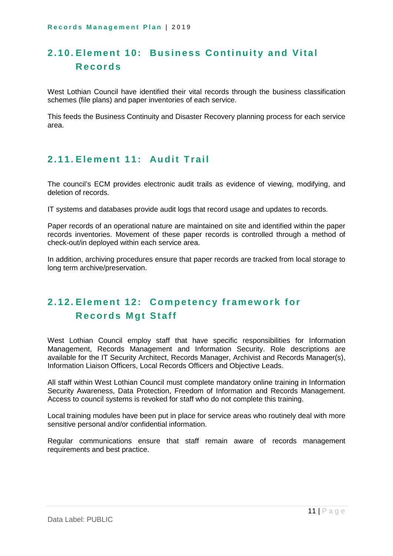# <span id="page-10-0"></span>**2.10. Element 10: Business Continuity and Vital Records**

West Lothian Council have identified their vital records through the business classification schemes (file plans) and paper inventories of each service.

This feeds the Business Continuity and Disaster Recovery planning process for each service area.

# <span id="page-10-1"></span>**2.11. Element 11: Audit Trail**

The council's ECM provides electronic audit trails as evidence of viewing, modifying, and deletion of records.

IT systems and databases provide audit logs that record usage and updates to records.

Paper records of an operational nature are maintained on site and identified within the paper records inventories. Movement of these paper records is controlled through a method of check-out/in deployed within each service area.

In addition, archiving procedures ensure that paper records are tracked from local storage to long term archive/preservation.

# <span id="page-10-2"></span>**2.12. Element 12: Competency framework for Records Mgt Staff**

West Lothian Council employ staff that have specific responsibilities for Information Management, Records Management and Information Security. Role descriptions are available for the IT Security Architect, Records Manager, Archivist and Records Manager(s), Information Liaison Officers, Local Records Officers and Objective Leads.

All staff within West Lothian Council must complete mandatory online training in Information Security Awareness, Data Protection, Freedom of Information and Records Management. Access to council systems is revoked for staff who do not complete this training.

Local training modules have been put in place for service areas who routinely deal with more sensitive personal and/or confidential information.

Regular communications ensure that staff remain aware of records management requirements and best practice.